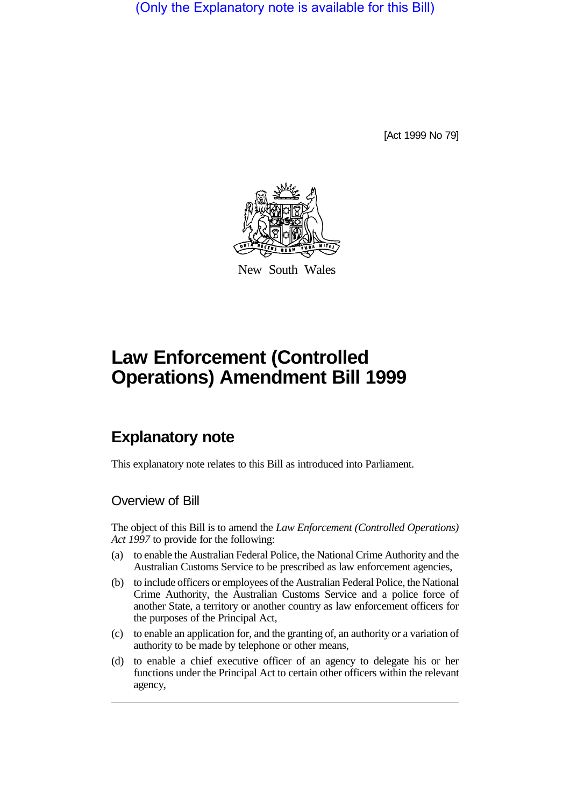(Only the Explanatory note is available for this Bill)

[Act 1999 No 79]



New South Wales

# **Law Enforcement (Controlled Operations) Amendment Bill 1999**

# **Explanatory note**

This explanatory note relates to this Bill as introduced into Parliament.

### Overview of Bill

The object of this Bill is to amend the *Law Enforcement (Controlled Operations) Act 1997* to provide for the following:

- (a) to enable the Australian Federal Police, the National Crime Authority and the Australian Customs Service to be prescribed as law enforcement agencies,
- (b) to include officers or employees of the Australian Federal Police, the National Crime Authority, the Australian Customs Service and a police force of another State, a territory or another country as law enforcement officers for the purposes of the Principal Act,
- (c) to enable an application for, and the granting of, an authority or a variation of authority to be made by telephone or other means,
- (d) to enable a chief executive officer of an agency to delegate his or her functions under the Principal Act to certain other officers within the relevant agency,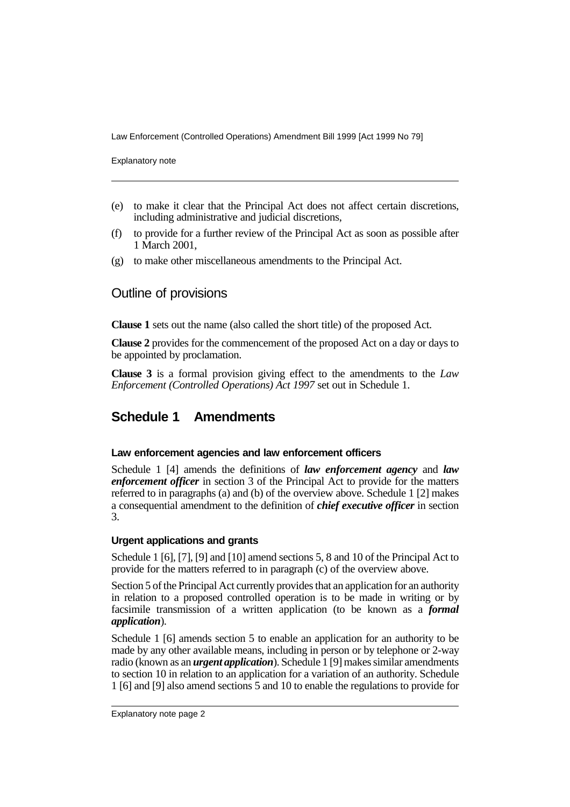Law Enforcement (Controlled Operations) Amendment Bill 1999 [Act 1999 No 79]

Explanatory note

- (e) to make it clear that the Principal Act does not affect certain discretions, including administrative and judicial discretions,
- (f) to provide for a further review of the Principal Act as soon as possible after 1 March 2001,
- (g) to make other miscellaneous amendments to the Principal Act.

## Outline of provisions

**Clause 1** sets out the name (also called the short title) of the proposed Act.

**Clause 2** provides for the commencement of the proposed Act on a day or days to be appointed by proclamation.

**Clause 3** is a formal provision giving effect to the amendments to the *Law Enforcement (Controlled Operations) Act 1997* set out in Schedule 1.

# **Schedule 1 Amendments**

#### **Law enforcement agencies and law enforcement officers**

Schedule 1 [4] amends the definitions of *law enforcement agency* and *law enforcement officer* in section 3 of the Principal Act to provide for the matters referred to in paragraphs (a) and (b) of the overview above. Schedule 1 [2] makes a consequential amendment to the definition of *chief executive officer* in section 3.

#### **Urgent applications and grants**

Schedule 1 [6], [7], [9] and [10] amend sections 5, 8 and 10 of the Principal Act to provide for the matters referred to in paragraph (c) of the overview above.

Section 5 of the Principal Act currently provides that an application for an authority in relation to a proposed controlled operation is to be made in writing or by facsimile transmission of a written application (to be known as a *formal application*).

Schedule 1 [6] amends section 5 to enable an application for an authority to be made by any other available means, including in person or by telephone or 2-way radio (known as an *urgent application*). Schedule 1 [9] makes similar amendments to section 10 in relation to an application for a variation of an authority. Schedule 1 [6] and [9] also amend sections 5 and 10 to enable the regulations to provide for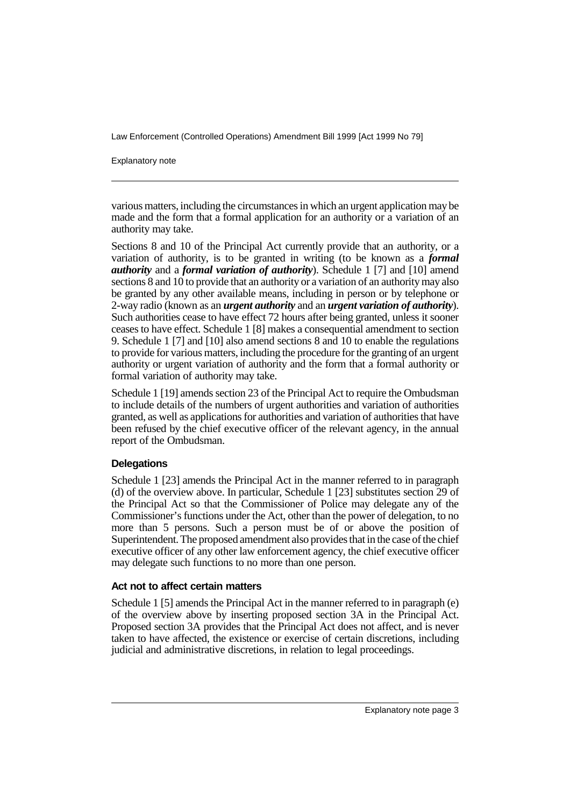Law Enforcement (Controlled Operations) Amendment Bill 1999 [Act 1999 No 79]

Explanatory note

various matters, including the circumstances in which an urgent application may be made and the form that a formal application for an authority or a variation of an authority may take.

Sections 8 and 10 of the Principal Act currently provide that an authority, or a variation of authority, is to be granted in writing (to be known as a *formal authority* and a *formal variation of authority*). Schedule 1 [7] and [10] amend sections 8 and 10 to provide that an authority or a variation of an authority may also be granted by any other available means, including in person or by telephone or 2-way radio (known as an *urgent authority* and an *urgent variation of authority*). Such authorities cease to have effect 72 hours after being granted, unless it sooner ceases to have effect. Schedule 1 [8] makes a consequential amendment to section 9. Schedule 1 [7] and [10] also amend sections 8 and 10 to enable the regulations to provide for various matters, including the procedure for the granting of an urgent authority or urgent variation of authority and the form that a formal authority or formal variation of authority may take.

Schedule 1 [19] amends section 23 of the Principal Act to require the Ombudsman to include details of the numbers of urgent authorities and variation of authorities granted, as well as applications for authorities and variation of authorities that have been refused by the chief executive officer of the relevant agency, in the annual report of the Ombudsman.

#### **Delegations**

Schedule 1 [23] amends the Principal Act in the manner referred to in paragraph (d) of the overview above. In particular, Schedule 1 [23] substitutes section 29 of the Principal Act so that the Commissioner of Police may delegate any of the Commissioner's functions under the Act, other than the power of delegation, to no more than 5 persons. Such a person must be of or above the position of Superintendent. The proposed amendment also provides that in the case of the chief executive officer of any other law enforcement agency, the chief executive officer may delegate such functions to no more than one person.

#### **Act not to affect certain matters**

Schedule 1 [5] amends the Principal Act in the manner referred to in paragraph (e) of the overview above by inserting proposed section 3A in the Principal Act. Proposed section 3A provides that the Principal Act does not affect, and is never taken to have affected, the existence or exercise of certain discretions, including judicial and administrative discretions, in relation to legal proceedings.